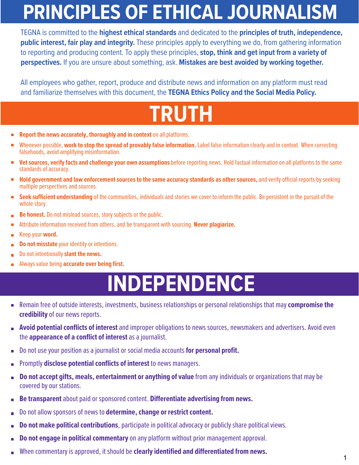## **PRINCIPLES OF ETHICAL JOURNALISM**

TEGNA is committed to the **highest ethical standards** and dedicated to the **principles of truth, independence, public interest, fair play and integrity.** These principles apply to everything we do, from gathering information to reporting and producing content. To apply these principles, **stop, think and get input from a variety of perspectives.** If you are unsure about something, ask. **Mistakes are best avoided by working together.**

All employees who gather, report, produce and distribute news and information on any platform must read and familiarize themselves with this document, the **TEGNA Ethics Policy and the Social Media Policy.**

### **TRUTH**

- **Report the news accurately, thoroughly and in context** on all platforms.  $\overline{\phantom{a}}$
- Whenever possible, **work to stop the spread of provably false information.** Label false information clearly and in context. When correcting falsehoods, avoid amplifying misinformation.
- **Vet sources, verify facts and challenge your own assumptions**before reporting news. Hold factual information on all platforms to the same  $\blacksquare$ standards of accuracy.
- **Hold government and law enforcement sources to the same accuracy standards as other sources,** and verify official reports by seeking multiple perspectives and sources.
- **Seek sufficient understanding** of the communities, individuals and stories we cover to inform the public. Be persistent in the pursuit of the m. whole story.
- **Be honest.** Do not mislead sources, story subjects or the public.  $\overline{\phantom{a}}$
- Attribute information received from others, and be transparent with sourcing. **Never plagiarize.**  г
- Keep your **word.**  $\blacksquare$
- **Do not misstate** your identity or intentions.
- Do not intentionally **slant the news.**
- Always value being **accurate over being first.**   $\mathbb{R}^n$

### **INDEPENDENCE**

- Remain free of outside interests, investments, business relationships or personal relationships that may **compromise the credibility**of our news reports.
- **Avoid potential conflicts of interest** and improper obligations to news sources, newsmakers and advertisers. Avoid even the **appearance of a conflict of interest** as a journalist.
- Do not use your position as a journalist or social media accounts **for personal profit.**  $\Box$
- Promptly **disclose potential conflicts of interest** to news managers.  $\overline{\phantom{a}}$
- **Do not accept gifts, meals, entertainment or anything of value** from any individuals or organizations that may be Ē, covered by our stations.
- **Be transparent** about paid or sponsored content. **Differentiate advertising from news.** n.
- Do not allow sponsors of news to **determine, change or restrict content.** F
- **Do not make political contributions**, participate in political advocacy or publicly share political views. г
- **Do not engage in political commentary**on any platform without prior management approval. г
- When commentary is approved, it should be **clearly identified and differentiated from news.**